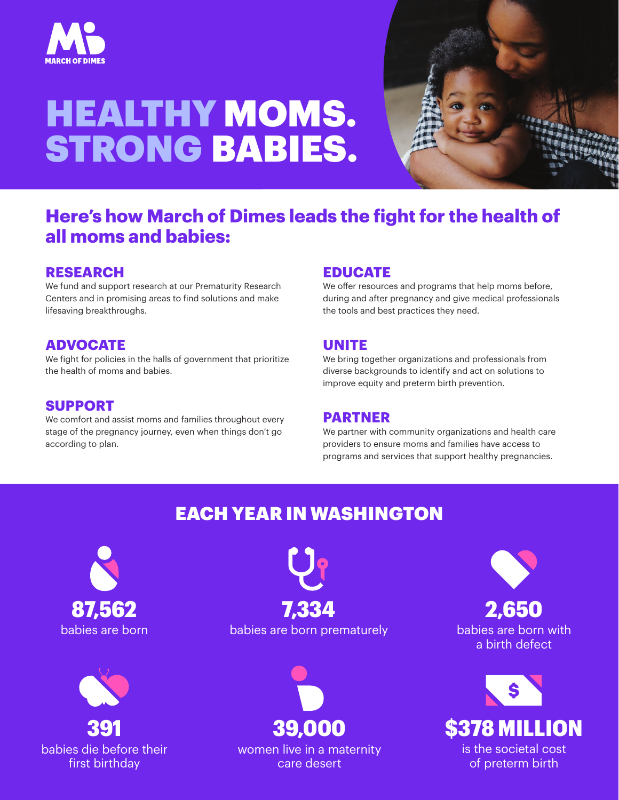

# HEALTHY MOMS. STRONG BABIES.



## **Here's how March of Dimes leads the fight for the health of all moms and babies:**

#### **RESEARCH**

We fund and support research at our Prematurity Research Centers and in promising areas to find solutions and make lifesaving breakthroughs.

### **ADVOCATE**

We fight for policies in the halls of government that prioritize the health of moms and babies.

#### **SUPPORT**

We comfort and assist moms and families throughout every stage of the pregnancy journey, even when things don't go according to plan.

#### **EDUCATE**

We offer resources and programs that help moms before, during and after pregnancy and give medical professionals the tools and best practices they need.

#### **UNITE**

We bring together organizations and professionals from diverse backgrounds to identify and act on solutions to improve equity and preterm birth prevention.

#### **PARTNER**

We partner with community organizations and health care providers to ensure moms and families have access to programs and services that support healthy pregnancies.

## EACH YEAR IN WASHINGTON





babies are born babies are born prematurely 87,562 7,334



women live in a maternity care desert

babies are born with a birth defect 2,650



of preterm birth